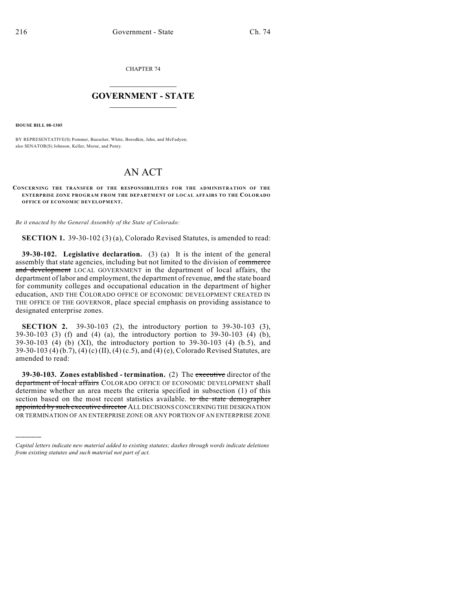CHAPTER 74

## $\overline{\phantom{a}}$  . The set of the set of the set of the set of the set of the set of the set of the set of the set of the set of the set of the set of the set of the set of the set of the set of the set of the set of the set o **GOVERNMENT - STATE**  $\_$

**HOUSE BILL 08-1305**

)))))

BY REPRESENTATIVE(S) Pommer, Buescher, White, Borodkin, Jahn, and McFadyen; also SENATOR(S) Johnson, Keller, Morse, and Penry.

## AN ACT

## **CONCERNING THE TRANSFER OF THE RESPONSIBILITIES FOR THE ADMINISTRATION OF THE ENTERPRISE ZONE PROGRAM FROM THE DEPARTMENT OF LOCAL AFFAIRS TO THE COLORADO OFFICE OF ECONOMIC DEVELOPMENT.**

*Be it enacted by the General Assembly of the State of Colorado:*

**SECTION 1.** 39-30-102 (3) (a), Colorado Revised Statutes, is amended to read:

**39-30-102. Legislative declaration.** (3) (a) It is the intent of the general assembly that state agencies, including but not limited to the division of commerce and development LOCAL GOVERNMENT in the department of local affairs, the department of labor and employment, the department of revenue, and the state board for community colleges and occupational education in the department of higher education, AND THE COLORADO OFFICE OF ECONOMIC DEVELOPMENT CREATED IN THE OFFICE OF THE GOVERNOR, place special emphasis on providing assistance to designated enterprise zones.

**SECTION 2.** 39-30-103 (2), the introductory portion to 39-30-103 (3), 39-30-103 (3) (f) and (4) (a), the introductory portion to 39-30-103 (4) (b), 39-30-103 (4) (b) (XI), the introductory portion to 39-30-103 (4) (b.5), and 39-30-103 (4) (b.7), (4) (c) (II), (4) (c.5), and (4) (e), Colorado Revised Statutes, are amended to read:

**39-30-103. Zones established - termination.** (2) The executive director of the department of local affairs COLORADO OFFICE OF ECONOMIC DEVELOPMENT shall determine whether an area meets the criteria specified in subsection (1) of this section based on the most recent statistics available. to the state demographer appointed by such executive director ALL DECISIONS CONCERNING THE DESIGNATION OR TERMINATION OF AN ENTERPRISE ZONE OR ANY PORTION OF AN ENTERPRISE ZONE

*Capital letters indicate new material added to existing statutes; dashes through words indicate deletions from existing statutes and such material not part of act.*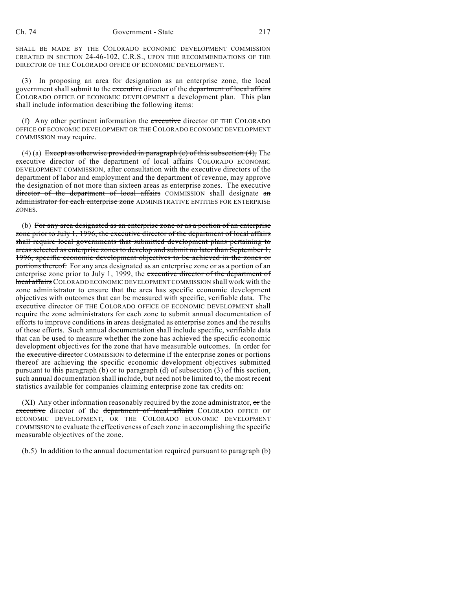SHALL BE MADE BY THE COLORADO ECONOMIC DEVELOPMENT COMMISSION CREATED IN SECTION 24-46-102, C.R.S., UPON THE RECOMMENDATIONS OF THE DIRECTOR OF THE COLORADO OFFICE OF ECONOMIC DEVELOPMENT.

(3) In proposing an area for designation as an enterprise zone, the local government shall submit to the executive director of the department of local affairs COLORADO OFFICE OF ECONOMIC DEVELOPMENT a development plan. This plan shall include information describing the following items:

(f) Any other pertinent information the executive director OF THE COLORADO OFFICE OF ECONOMIC DEVELOPMENT OR THE COLORADO ECONOMIC DEVELOPMENT COMMISSION may require.

(4) (a) Except as otherwise provided in paragraph (e) of this subsection  $(4)$ , The executive director of the department of local affairs COLORADO ECONOMIC DEVELOPMENT COMMISSION, after consultation with the executive directors of the department of labor and employment and the department of revenue, may approve the designation of not more than sixteen areas as enterprise zones. The executive director of the department of local affairs COMMISSION shall designate an administrator for each enterprise zone ADMINISTRATIVE ENTITIES FOR ENTERPRISE ZONES.

(b) For any area designated as an enterprise zone or as a portion of an enterprise zone prior to July 1, 1996, the executive director of the department of local affairs shall require local governments that submitted development plans pertaining to areas selected as enterprise zones to develop and submit no later than September 1, 1996, specific economic development objectives to be achieved in the zones or portions thereof. For any area designated as an enterprise zone or as a portion of an enterprise zone prior to July 1, 1999, the executive director of the department of local affairs COLORADO ECONOMIC DEVELOPMENT COMMISSION shall work with the zone administrator to ensure that the area has specific economic development objectives with outcomes that can be measured with specific, verifiable data. The executive director OF THE COLORADO OFFICE OF ECONOMIC DEVELOPMENT shall require the zone administrators for each zone to submit annual documentation of efforts to improve conditions in areas designated as enterprise zones and the results of those efforts. Such annual documentation shall include specific, verifiable data that can be used to measure whether the zone has achieved the specific economic development objectives for the zone that have measurable outcomes. In order for the executive director COMMISSION to determine if the enterprise zones or portions thereof are achieving the specific economic development objectives submitted pursuant to this paragraph (b) or to paragraph (d) of subsection (3) of this section, such annual documentation shall include, but need not be limited to, the most recent statistics available for companies claiming enterprise zone tax credits on:

 $(XI)$  Any other information reasonably required by the zone administrator, or the executive director of the department of local affairs COLORADO OFFICE OF ECONOMIC DEVELOPMENT, OR THE COLORADO ECONOMIC DEVELOPMENT COMMISSION to evaluate the effectiveness of each zone in accomplishing the specific measurable objectives of the zone.

(b.5) In addition to the annual documentation required pursuant to paragraph (b)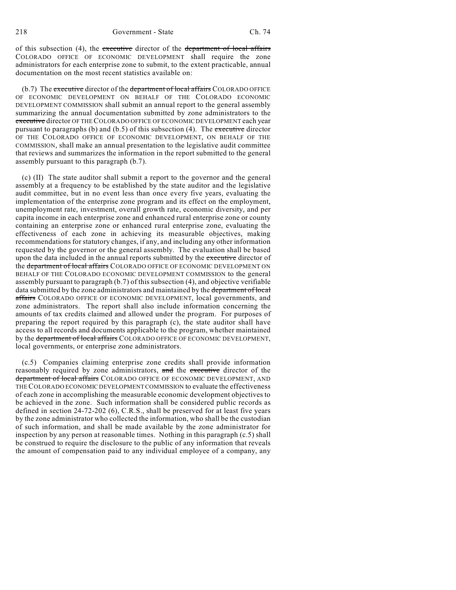of this subsection (4), the executive director of the department of local affairs COLORADO OFFICE OF ECONOMIC DEVELOPMENT shall require the zone administrators for each enterprise zone to submit, to the extent practicable, annual documentation on the most recent statistics available on:

(b.7) The executive director of the department of local affairs COLORADO OFFICE OF ECONOMIC DEVELOPMENT ON BEHALF OF THE COLORADO ECONOMIC DEVELOPMENT COMMISSION shall submit an annual report to the general assembly summarizing the annual documentation submitted by zone administrators to the executive director OF THE COLORADO OFFICE OF ECONOMIC DEVELOPMENT each year pursuant to paragraphs (b) and (b.5) of this subsection (4). The executive director OF THE COLORADO OFFICE OF ECONOMIC DEVELOPMENT, ON BEHALF OF THE COMMISSION, shall make an annual presentation to the legislative audit committee that reviews and summarizes the information in the report submitted to the general assembly pursuant to this paragraph (b.7).

(c) (II) The state auditor shall submit a report to the governor and the general assembly at a frequency to be established by the state auditor and the legislative audit committee, but in no event less than once every five years, evaluating the implementation of the enterprise zone program and its effect on the employment, unemployment rate, investment, overall growth rate, economic diversity, and per capita income in each enterprise zone and enhanced rural enterprise zone or county containing an enterprise zone or enhanced rural enterprise zone, evaluating the effectiveness of each zone in achieving its measurable objectives, making recommendations for statutory changes, if any, and including any other information requested by the governor or the general assembly. The evaluation shall be based upon the data included in the annual reports submitted by the executive director of the department of local affairs COLORADO OFFICE OF ECONOMIC DEVELOPMENT ON BEHALF OF THE COLORADO ECONOMIC DEVELOPMENT COMMISSION to the general assembly pursuant to paragraph (b.7) of this subsection (4), and objective verifiable data submitted by the zone administrators and maintained by the department of local affairs COLORADO OFFICE OF ECONOMIC DEVELOPMENT, local governments, and zone administrators. The report shall also include information concerning the amounts of tax credits claimed and allowed under the program. For purposes of preparing the report required by this paragraph (c), the state auditor shall have access to all records and documents applicable to the program, whether maintained by the department of local affairs COLORADO OFFICE OF ECONOMIC DEVELOPMENT, local governments, or enterprise zone administrators.

(c.5) Companies claiming enterprise zone credits shall provide information reasonably required by zone administrators, and the executive director of the department of local affairs COLORADO OFFICE OF ECONOMIC DEVELOPMENT, AND THE COLORADO ECONOMIC DEVELOPMENT COMMISSION to evaluate the effectiveness of each zone in accomplishing the measurable economic development objectives to be achieved in the zone. Such information shall be considered public records as defined in section 24-72-202 (6), C.R.S., shall be preserved for at least five years by the zone administrator who collected the information, who shall be the custodian of such information, and shall be made available by the zone administrator for inspection by any person at reasonable times. Nothing in this paragraph (c.5) shall be construed to require the disclosure to the public of any information that reveals the amount of compensation paid to any individual employee of a company, any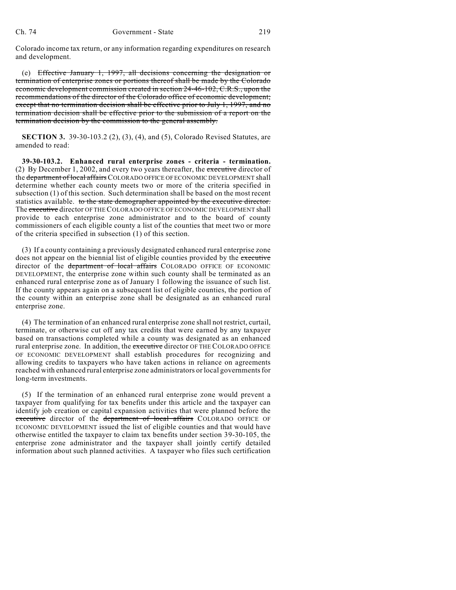Colorado income tax return, or any information regarding expenditures on research and development.

(e) Effective January 1, 1997, all decisions concerning the designation or termination of enterprise zones or portions thereof shall be made by the Colorado economic development commission created in section 24-46-102, C.R.S., upon the recommendations of the director of the Colorado office of economic development; except that no termination decision shall be effective prior to July 1, 1997, and no termination decision shall be effective prior to the submission of a report on the termination decision by the commission to the general assembly.

**SECTION 3.** 39-30-103.2 (2), (3), (4), and (5), Colorado Revised Statutes, are amended to read:

**39-30-103.2. Enhanced rural enterprise zones - criteria - termination.** (2) By December 1, 2002, and every two years thereafter, the executive director of the department of local affairs COLORADO OFFICE OF ECONOMIC DEVELOPMENT shall determine whether each county meets two or more of the criteria specified in subsection (1) of this section. Such determination shall be based on the most recent statistics available. to the state demographer appointed by the executive director. The executive director OF THE COLORADO OFFICE OF ECONOMIC DEVELOPMENT shall provide to each enterprise zone administrator and to the board of county commissioners of each eligible county a list of the counties that meet two or more of the criteria specified in subsection (1) of this section.

(3) If a county containing a previously designated enhanced rural enterprise zone does not appear on the biennial list of eligible counties provided by the executive director of the department of local affairs COLORADO OFFICE OF ECONOMIC DEVELOPMENT, the enterprise zone within such county shall be terminated as an enhanced rural enterprise zone as of January 1 following the issuance of such list. If the county appears again on a subsequent list of eligible counties, the portion of the county within an enterprise zone shall be designated as an enhanced rural enterprise zone.

(4) The termination of an enhanced rural enterprise zone shall not restrict, curtail, terminate, or otherwise cut off any tax credits that were earned by any taxpayer based on transactions completed while a county was designated as an enhanced rural enterprise zone. In addition, the executive director OF THE COLORADO OFFICE OF ECONOMIC DEVELOPMENT shall establish procedures for recognizing and allowing credits to taxpayers who have taken actions in reliance on agreements reached with enhanced rural enterprise zone administrators or local governments for long-term investments.

(5) If the termination of an enhanced rural enterprise zone would prevent a taxpayer from qualifying for tax benefits under this article and the taxpayer can identify job creation or capital expansion activities that were planned before the executive director of the department of local affairs COLORADO OFFICE OF ECONOMIC DEVELOPMENT issued the list of eligible counties and that would have otherwise entitled the taxpayer to claim tax benefits under section 39-30-105, the enterprise zone administrator and the taxpayer shall jointly certify detailed information about such planned activities. A taxpayer who files such certification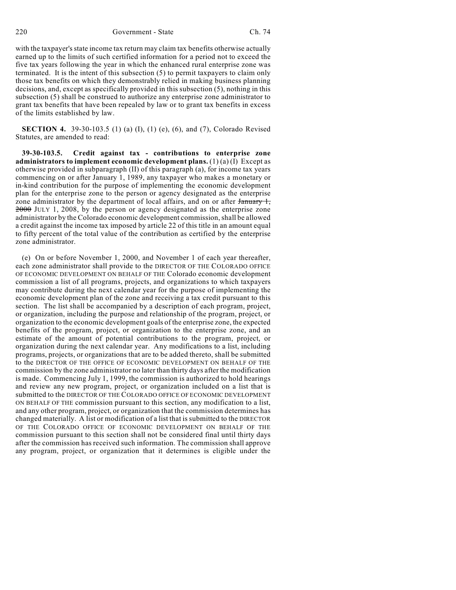with the taxpayer's state income tax return may claim tax benefits otherwise actually earned up to the limits of such certified information for a period not to exceed the five tax years following the year in which the enhanced rural enterprise zone was terminated. It is the intent of this subsection (5) to permit taxpayers to claim only those tax benefits on which they demonstrably relied in making business planning decisions, and, except as specifically provided in this subsection (5), nothing in this subsection (5) shall be construed to authorize any enterprise zone administrator to grant tax benefits that have been repealed by law or to grant tax benefits in excess of the limits established by law.

**SECTION 4.** 39-30-103.5 (1) (a) (I), (1) (e), (6), and (7), Colorado Revised Statutes, are amended to read:

**39-30-103.5. Credit against tax - contributions to enterprise zone administrators to implement economic development plans.** (1) (a) (I) Except as otherwise provided in subparagraph (II) of this paragraph (a), for income tax years commencing on or after January 1, 1989, any taxpayer who makes a monetary or in-kind contribution for the purpose of implementing the economic development plan for the enterprise zone to the person or agency designated as the enterprise zone administrator by the department of local affairs, and on or after  $\frac{1}{2}$ , 2000 JULY 1, 2008, by the person or agency designated as the enterprise zone administrator by the Colorado economic development commission, shall be allowed a credit against the income tax imposed by article 22 of this title in an amount equal to fifty percent of the total value of the contribution as certified by the enterprise zone administrator.

(e) On or before November 1, 2000, and November 1 of each year thereafter, each zone administrator shall provide to the DIRECTOR OF THE COLORADO OFFICE OF ECONOMIC DEVELOPMENT ON BEHALF OF THE Colorado economic development commission a list of all programs, projects, and organizations to which taxpayers may contribute during the next calendar year for the purpose of implementing the economic development plan of the zone and receiving a tax credit pursuant to this section. The list shall be accompanied by a description of each program, project, or organization, including the purpose and relationship of the program, project, or organization to the economic development goals of the enterprise zone, the expected benefits of the program, project, or organization to the enterprise zone, and an estimate of the amount of potential contributions to the program, project, or organization during the next calendar year. Any modifications to a list, including programs, projects, or organizations that are to be added thereto, shall be submitted to the DIRECTOR OF THE OFFICE OF ECONOMIC DEVELOPMENT ON BEHALF OF THE commission by the zone administrator no later than thirty days after the modification is made. Commencing July 1, 1999, the commission is authorized to hold hearings and review any new program, project, or organization included on a list that is submitted to the DIRECTOR OF THE COLORADO OFFICE OF ECONOMIC DEVELOPMENT ON BEHALF OF THE commission pursuant to this section, any modification to a list, and any other program, project, or organization that the commission determines has changed materially. A list or modification of a list that is submitted to the DIRECTOR OF THE COLORADO OFFICE OF ECONOMIC DEVELOPMENT ON BEHALF OF THE commission pursuant to this section shall not be considered final until thirty days after the commission has received such information. The commission shall approve any program, project, or organization that it determines is eligible under the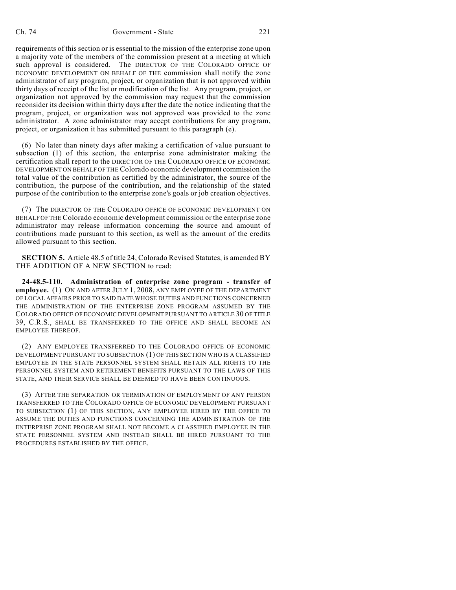requirements of this section or is essential to the mission of the enterprise zone upon a majority vote of the members of the commission present at a meeting at which such approval is considered. The DIRECTOR OF THE COLORADO OFFICE OF ECONOMIC DEVELOPMENT ON BEHALF OF THE commission shall notify the zone administrator of any program, project, or organization that is not approved within thirty days of receipt of the list or modification of the list. Any program, project, or organization not approved by the commission may request that the commission reconsider its decision within thirty days after the date the notice indicating that the program, project, or organization was not approved was provided to the zone administrator. A zone administrator may accept contributions for any program, project, or organization it has submitted pursuant to this paragraph (e).

(6) No later than ninety days after making a certification of value pursuant to subsection (1) of this section, the enterprise zone administrator making the certification shall report to the DIRECTOR OF THE COLORADO OFFICE OF ECONOMIC DEVELOPMENT ON BEHALF OF THE Colorado economic development commission the total value of the contribution as certified by the administrator, the source of the contribution, the purpose of the contribution, and the relationship of the stated purpose of the contribution to the enterprise zone's goals or job creation objectives.

(7) The DIRECTOR OF THE COLORADO OFFICE OF ECONOMIC DEVELOPMENT ON BEHALF OF THE Colorado economic development commission or the enterprise zone administrator may release information concerning the source and amount of contributions made pursuant to this section, as well as the amount of the credits allowed pursuant to this section.

**SECTION 5.** Article 48.5 of title 24, Colorado Revised Statutes, is amended BY THE ADDITION OF A NEW SECTION to read:

**24-48.5-110. Administration of enterprise zone program - transfer of employee.** (1) ON AND AFTER JULY 1, 2008, ANY EMPLOYEE OF THE DEPARTMENT OF LOCAL AFFAIRS PRIOR TO SAID DATE WHOSE DUTIES AND FUNCTIONS CONCERNED THE ADMINISTRATION OF THE ENTERPRISE ZONE PROGRAM ASSUMED BY THE COLORADO OFFICE OF ECONOMIC DEVELOPMENT PURSUANT TO ARTICLE 30 OF TITLE 39, C.R.S., SHALL BE TRANSFERRED TO THE OFFICE AND SHALL BECOME AN EMPLOYEE THEREOF.

(2) ANY EMPLOYEE TRANSFERRED TO THE COLORADO OFFICE OF ECONOMIC DEVELOPMENT PURSUANT TO SUBSECTION (1) OF THIS SECTION WHO IS A CLASSIFIED EMPLOYEE IN THE STATE PERSONNEL SYSTEM SHALL RETAIN ALL RIGHTS TO THE PERSONNEL SYSTEM AND RETIREMENT BENEFITS PURSUANT TO THE LAWS OF THIS STATE, AND THEIR SERVICE SHALL BE DEEMED TO HAVE BEEN CONTINUOUS.

(3) AFTER THE SEPARATION OR TERMINATION OF EMPLOYMENT OF ANY PERSON TRANSFERRED TO THE COLORADO OFFICE OF ECONOMIC DEVELOPMENT PURSUANT TO SUBSECTION (1) OF THIS SECTION, ANY EMPLOYEE HIRED BY THE OFFICE TO ASSUME THE DUTIES AND FUNCTIONS CONCERNING THE ADMINISTRATION OF THE ENTERPRISE ZONE PROGRAM SHALL NOT BECOME A CLASSIFIED EMPLOYEE IN THE STATE PERSONNEL SYSTEM AND INSTEAD SHALL BE HIRED PURSUANT TO THE PROCEDURES ESTABLISHED BY THE OFFICE.